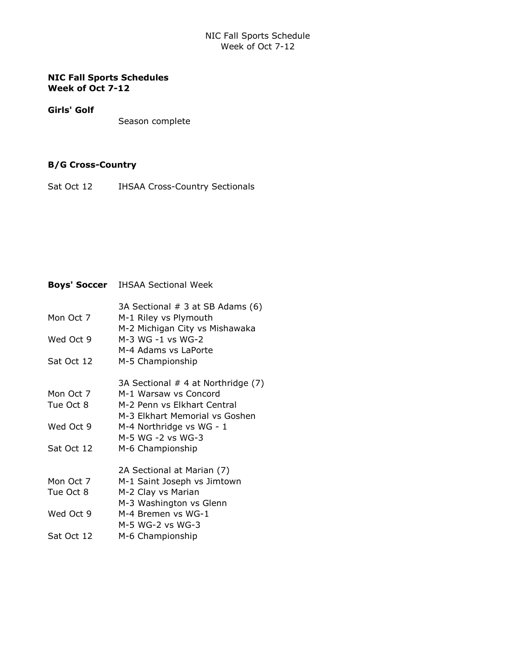## NIC Fall Sports Schedule Week of Oct 7-12

### NIC Fall Sports Schedules Week of Oct 7-12

#### Girls' Golf

Season complete

## B/G Cross-Country

Sat Oct 12 **IHSAA Cross-Country Sectionals** 

# Boys' Soccer IHSAA Sectional Week

|            | 3A Sectional # 3 at SB Adams (6)   |
|------------|------------------------------------|
| Mon Oct 7  | M-1 Riley vs Plymouth              |
|            | M-2 Michigan City vs Mishawaka     |
| Wed Oct 9  | M-3 WG -1 vs WG-2                  |
|            | M-4 Adams vs LaPorte               |
| Sat Oct 12 | M-5 Championship                   |
|            | 3A Sectional # 4 at Northridge (7) |
| Mon Oct 7  | M-1 Warsaw vs Concord              |
| Tue Oct 8  | M-2 Penn vs Elkhart Central        |
|            | M-3 Elkhart Memorial vs Goshen     |
| Wed Oct 9  | M-4 Northridge vs WG - 1           |
|            | M-5 WG -2 vs WG-3                  |
| Sat Oct 12 | M-6 Championship                   |
|            | 2A Sectional at Marian (7)         |
| Mon Oct 7  | M-1 Saint Joseph vs Jimtown        |
| Tue Oct 8  | M-2 Clay vs Marian                 |
|            | M-3 Washington vs Glenn            |
| Wed Oct 9  | M-4 Bremen vs WG-1                 |
|            | M-5 WG-2 vs WG-3                   |
| Sat Oct 12 | M-6 Championship                   |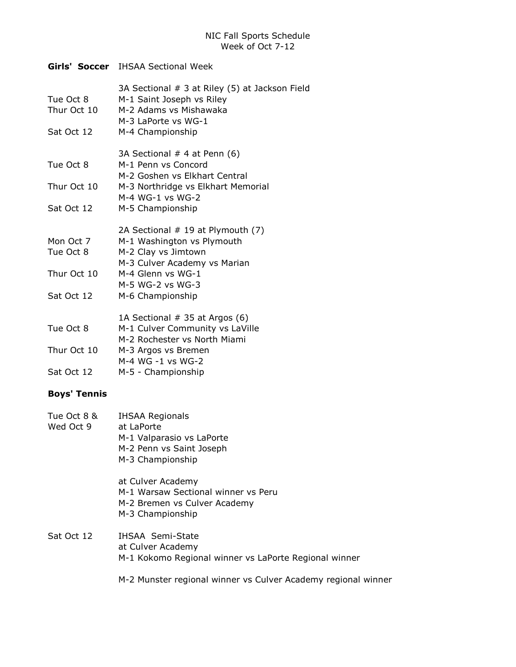## Girls' Soccer IHSAA Sectional Week

| Tue Oct 8<br>Thur Oct 10 | 3A Sectional # 3 at Riley (5) at Jackson Field<br>M-1 Saint Joseph vs Riley<br>M-2 Adams vs Mishawaka<br>M-3 LaPorte vs WG-1 |
|--------------------------|------------------------------------------------------------------------------------------------------------------------------|
| Sat Oct 12               | M-4 Championship                                                                                                             |
|                          | 3A Sectional # 4 at Penn (6)                                                                                                 |
| Tue Oct 8                | M-1 Penn vs Concord<br>M-2 Goshen vs Elkhart Central                                                                         |
| Thur Oct 10              | M-3 Northridge vs Elkhart Memorial                                                                                           |
|                          | $M-4$ WG-1 vs WG-2                                                                                                           |
| Sat Oct 12               | M-5 Championship                                                                                                             |
|                          | 2A Sectional # 19 at Plymouth (7)                                                                                            |
| Mon Oct 7                | M-1 Washington vs Plymouth                                                                                                   |
| Tue Oct 8                | M-2 Clay vs Jimtown                                                                                                          |
|                          | M-3 Culver Academy vs Marian                                                                                                 |
| Thur Oct 10              | M-4 Glenn vs WG-1                                                                                                            |
|                          | M-5 WG-2 vs WG-3                                                                                                             |
| Sat Oct 12               | M-6 Championship                                                                                                             |
|                          | 1A Sectional # 35 at Argos (6)                                                                                               |
| Tue Oct 8                | M-1 Culver Community vs LaVille                                                                                              |
|                          | M-2 Rochester vs North Miami                                                                                                 |
| Thur Oct 10              | M-3 Argos vs Bremen                                                                                                          |
|                          | M-4 WG -1 vs WG-2                                                                                                            |
| Sat Oct 12               | M-5 - Championship                                                                                                           |
|                          |                                                                                                                              |

## Boys' Tennis

| Tue Oct 8 &<br>Wed Oct 9 | <b>IHSAA Regionals</b><br>at LaPorte<br>M-1 Valparasio vs LaPorte<br>M-2 Penn vs Saint Joseph<br>M-3 Championship |
|--------------------------|-------------------------------------------------------------------------------------------------------------------|
|                          | at Culver Academy<br>M-1 Warsaw Sectional winner vs Peru<br>M-2 Bremen vs Culver Academy<br>M-3 Championship      |
| Sat Oct 12               | IHSAA Semi-State<br>at Culver Academy<br>M-1 Kokomo Regional winner vs LaPorte Regional winner                    |
|                          | M-2 Munster regional winner vs Culver Academy regional winner                                                     |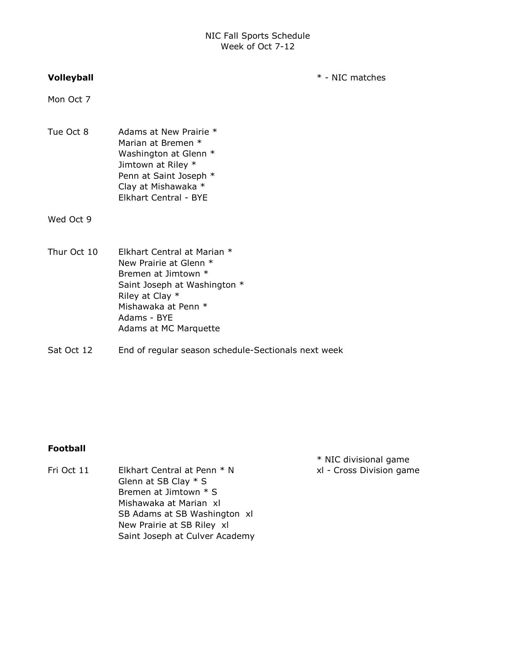#### Volleyball \* - NIC matches

Mon Oct 7

Tue Oct 8 Adams at New Prairie \* Marian at Bremen \* Washington at Glenn \* Jimtown at Riley \* Penn at Saint Joseph \* Clay at Mishawaka \* Elkhart Central - BYE

Wed Oct 9

- Thur Oct 10 Elkhart Central at Marian \* New Prairie at Glenn \* Bremen at Jimtown \* Saint Joseph at Washington \* Riley at Clay \* Mishawaka at Penn \* Adams - BYE Adams at MC Marquette
- Sat Oct 12 End of regular season schedule-Sectionals next week

#### Football

Fri Oct 11 Elkhart Central at Penn \* N xl - Cross Division game Glenn at SB Clay \* S Bremen at Jimtown \* S Mishawaka at Marian xl SB Adams at SB Washington xl New Prairie at SB Riley xl Saint Joseph at Culver Academy

\* NIC divisional game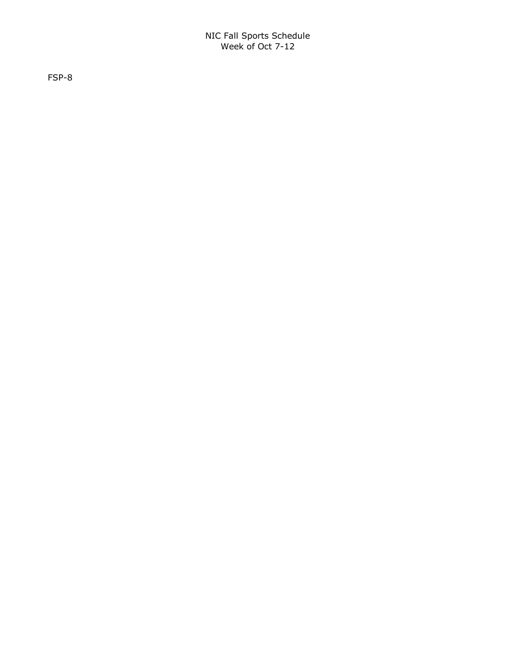FSP-8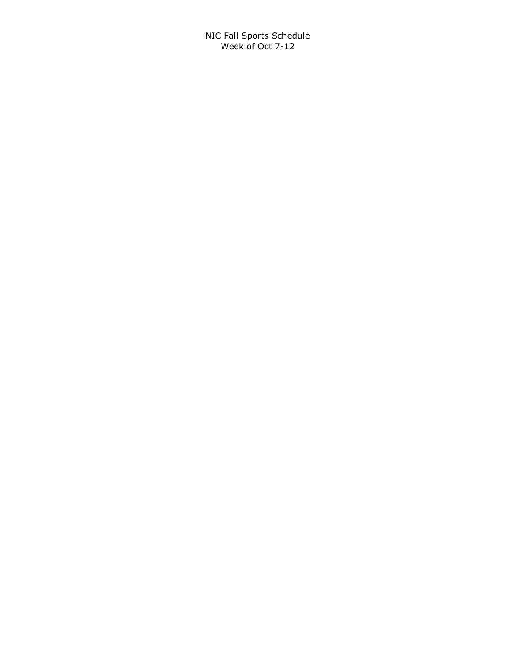NIC Fall Sports Schedule Week of Oct 7-12